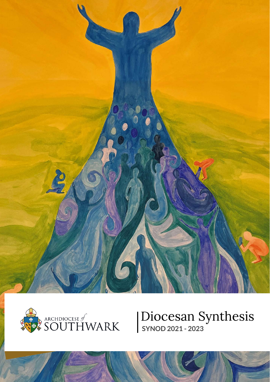



# Diocesan Synthesis **SYNOD 2021 - 2023**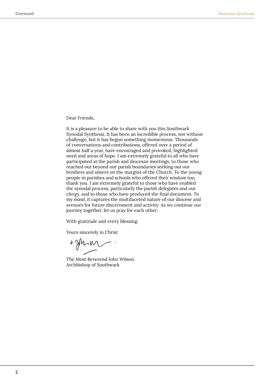Dear Friends,

It is a pleasure to be able to share with you this Southwark Synodal Synthesis. It has been an incredible process, not without challenge, but it has begun something momentous. Thousands of conversations and contributions, offered over a period of almost half a year, have encouraged and provoked, highlighted need and areas of hope. I am extremely grateful to all who have participated at the parish and diocesan meetings, to those who reached out beyond our parish boundaries seeking out our brothers and sisters on the margins of the Church. To the young people in parishes and schools who offered their wisdom too, thank you. I am extremely grateful to those who have enabled the synodal process, particularly the parish delegates and our clergy, and to those who have produced the final document. To my mind, it captures the multifaceted nature of our diocese and avenues for future discernment and activity. As we continue our journey together, let us pray for each other.

With gratitude and every blessing.

Yours sincerely in Christ

+gh

The Most Reverend John Wilson Archbishop of Southwark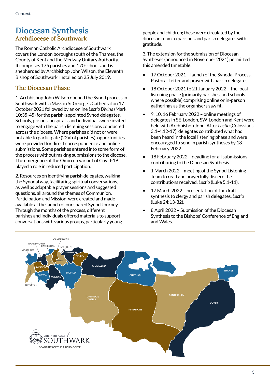### **Diocesan Synthesis Archdiocese of Southwark**

The Roman Catholic Archdiocese of Southwark covers the London boroughs south of the Thames, the County of Kent and the Medway Unitary Authority. It comprises 175 parishes and 170 schools and is shepherded by Archbishop John Wilson, the Eleventh Bishop of Southwark, installed on 25 July 2019.

### **The Diocesan Phase**

1. Archbishop John Wilson opened the Synod process in Southwark with a Mass in St George's Cathedral on 17 October 2021 followed by an online *Lectio Divina* (Mark 10:35-45) for the parish-appointed Synod delegates. Schools, prisons, hospitals, and individuals were invited to engage with the parish listening sessions conducted across the diocese. Where parishes did not or were not able to participate (22% of parishes), opportunities were provided for direct correspondence and online submissions. Some parishes entered into some form of the process without making submissions to the diocese. The emergence of the Omicron variant of Covid-19 played a role in reduced participation.

2. Resources on identifying parish delegates, walking the Synodal way, facilitating spiritual conversations, as well as adaptable prayer sessions and suggested questions, all around the themes of Communion, Participation and Mission, were created and made available at the launch of our shared Synod Journey. Through the months of the process, different parishes and individuals offered materials to support conversations with various groups, particularly young people and children; these were circulated by the diocesan team to parishes and parish delegates with gratitude.

3. The extension for the submission of Diocesan Syntheses (announced in November 2021) permitted this amended timetable:

- 17 October 2021 launch of the Synodal Process, Pastoral Letter and prayer with parish delegates.
- 18 October 2021 to 21 January 2022 the local listening phase (primarily parishes, and schools where possible) comprising online or in-person gatherings as the organisers saw fit.
- 9, 10, 16 February 2022 online meetings of delegates in SE-London, SW-London and Kent were held with Archbishop John. After *Lectio* (Colossians 3:1-4,12-17), delegates contributed what had been heard in the local listening phase and were encouraged to send in parish syntheses by 18 February 2022.
- 18 February 2022 deadline for all submissions contributing to the Diocesan Synthesis.
- 1 March 2022 meeting of the Synod Listening Team to read and prayerfully discern the contributions received. *Lectio* (Luke 5:1-11).
- 17 March 2022 presentation of the draft synthesis to clergy and parish delegates. *Lectio* (Luke 24:13-32).
- 8 April 2022 Submission of the Diocesan Synthesis to the Bishops' Conference of England and Wales.

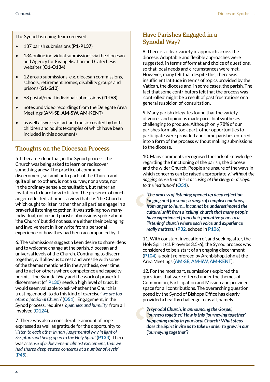The Synod Listening Team received:

- 137 parish submissions (**P1-P137**)
- 134 online individual submissions via the diocesan and Agency for Evangelisation and Catechesis websites (**O1-O134**)
- 12 group submissions, e.g. diocesan commissions, schools, retirement homes, disability groups and prisons (**G1-G12**)
- 68 postal/email individual submissions (**I1-I68**)
- notes and video recordings from the Delegate Area Meetings (**AM-SE, AM-SW, AM-KENT**)
- as well as works of art and music created by both children and adults (examples of which have been included in this document)

#### **Thoughts on the Diocesan Process**

5. It became clear that, in the Synod process, the Church was being asked to learn or rediscover something anew. The practice of communal discernment, so familiar to parts of the Church and quite alien to others, is not a survey, nor a vote, nor in the ordinary sense a consultation, but rather an invitation to learn how to listen. The presence of much anger reflected, at times, a view that it is 'the Church' which ought to listen rather than all parties engage in a prayerful listening together. It was striking how many individual, online and parish submissions spoke about 'the Church' but did not assume either their belonging and involvement in it or write from a personal experience of how they had been accompanied by it.

6. The submissions suggest a keen desire to share ideas and to welcome change at the parish, diocesan and universal levels of the Church. Continuing to discern, together, will allow us to rest and wrestle with some of the themes mentioned in the synthesis, over time, and to act on others where competence and capacity permit. The Synodal Way and the work of prayerful discernment (cf. **P130**) needs a high level of trust. It would seem valuable to ask whether the Church is trusting enough to do this kind of exercise: '*we are too often a factional Church*' (**O51**). Engagement, in the Synod process, requires *'openness and humility*' from all involved (**O124**).

7. There was also a considerable amount of hope expressed as well as gratitude for the opportunity to '*listen to each other in non-judgemental way in light of Scripture and being open to the Holy Spirit*' (**P133**). There was a '*sense of achievement, almost excitement, that we had shared deep-seated concerns at a number of levels*' (**P45**).

#### **Have Parishes Engaged in a Synodal Way?**

8. There is a clear variety in approach across the diocese. Adaptable and flexible approaches were suggested, in terms of format and choice of questions, so that local needs and circumstances were met. However, many felt that despite this, there was insufficient latitude in terms of topics provided by the Vatican, the diocese and, in some cases, the parish. The fact that some contributors felt that the process was 'controlled' might be a result of past frustrations or a general suspicion of 'consultation'.

9. Many parish delegates found that the variety of voices and opinions made parochial syntheses challenging to produce. Although only 78% of our parishes formally took part, other opportunities to participate were provided and some parishes entered into a form of the process without making submissions to the diocese.

10. Many comments recognised the lack of knowledge regarding the functioning of the parish, the diocese and the wider Church. People are unsure of the ways in which concerns can be raised appropriately, '*without the nagging sense that this is accusing of the clergy or disloyal to the institution*' (**O51**).

The<br>Iong<br>Irom<br>Cultu<br>Inversion<br>Internal<br>Internal<br>Internal<br>Internal<br>Internal<br>Internal<br>Internal<br>Internal<br>Internal<br>Internal<br>Internal *'The process of listening opened up deep reflection, longing and for some, a range of complex emotions, from anger to hurt... It cannot be underestimated the cultural shift from a 'telling' church that many people have experienced from their formative years to a 'listening' church where each voice and experience really matters.'* (**P32**, echoed in **P106**)

11. With constant invocation of, and seeking after, the Holy Spirit (cf. Proverbs 3:5-6), the Synod process was considered to be a start of an ongoing discernment (**P104**), a point reinforced by Archbishop John at the Area Meetings (**AM-SE, AM-SW, AM-KENT**).

12. For the most part, submissions explored the questions that were offered under the themes of Communion, Participation and Mission and provided space for all contributions. The overarching question posed by the Synod of Bishops Office has clearly provided a healthy challenge to us all, namely:

"A sy<br>"jour<br>happ"<br>does<br>"jour" *'A synodal Church, in announcing the Gospel, 'journeys together.' How is this 'journeying together' happening today in your local Church? What steps does the Spirit invite us to take in order to grow in our 'journeying together'?*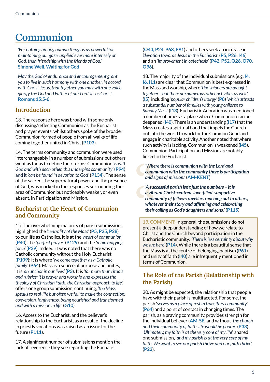### **Communion**

*'For nothing among human things is as powerful for maintaining our gaze, applied ever more intensely on God, than friendship with the friends of God.'*  **Simone Weil, Waiting for God**

*May the God of endurance and encouragement grant you to live in such harmony with one another, in accord with Christ Jesus, that together you may with one voice glorify the God and Father of our Lord Jesus Christ.*  **Romans 15:5-6**

#### **Introduction**

13. The response here was broad with some only discussing/reflecting Communion as the Eucharist and prayer events, whilst others spoke of the broader Communion formed of people from all walks of life coming together united in Christ (**P103**).

14. The terms community and communion were used interchangeably in a number of submissions but others went as far as to define their terms: Communion *'is with God and with each other, this underpins community'* (**P94**) and it *'can be found in devotion to God'* (**P134**). The sense of the sacred, the supernatural power and the presence of God, was marked in the responses surrounding the area of Communion but noticeably weaker, or even absent, in Participation and Mission.

#### **Eucharist at the Heart of Communion and Community**

15. The overwhelming majority of parish submissions highlighted the *'centrality of the Mass'* (**P5, P25, P28**) to our life as Catholics, it is at the *'heart of communion'*  (**P40**), the *'perfect prayer'* (**P129**) and the *'main unifying force'* (**P39**). Indeed, it was noted that there was no Catholic community without the Holy Eucharist (**P109**); it is where *'we come together as a Catholic family'* (**P64**). Mass is a source of purpose and unites, it is *'an anchor in our lives'* (**P3**). It is *'far more than rituals and rubrics; it is prayer and worship and expresses the theology of Christian Faith, the Christian approach to life',*  offers one group submission, continuing, *'the Mass speaks to real-life but often we fail to make the connection: conversion, forgiveness, being nourished and transformed and with a mission in life'* (**G10**).

16. Access to the Eucharist, and the believer's relationship to the Eucharist, as a result of the decline in priestly vocations was raised as an issue for the future (**P111**).

17. A significant number of submissions mention the lack of reverence they see regarding the Eucharist

(**O43, P24, P63, P91**) and others seek an increase in *'devotion towards Jesus in the Eucharist'* (**P5, P26, I46**) and an *'improvement in catechesis'* (**P42, P52, O26, O70, O96**).

18. The majority of the individual submissions (e.g. **I4, I6, I11**) are clear that Communion is best expressed in the Mass and worship, where *'Parishioners are brought together… but there are numerous other activities as well.'* (**I5**), including *'popular children's liturgy'* (**P8**) *'which attracts a substantial number of families with young children to Sunday Mass'* (**I13**). Eucharistic Adoration was mentioned a number of times as a place where Communion can be deepened (**I40**). There is an understanding (**I17**) that the Mass creates a spiritual bond that impels the Church out into the world to work for the Common Good and engage in charitable activity. Another noted that where such activity is lacking, Communion is weakened (**I45**). Communion, Participation and Mission are notably linked in the Eucharist.

*'Where there is communion with the Lord and communion with the community there is participation and signs of mission.'* (**AM-KENT**)

Whe<br>comm<br>and s<br>A suc<br>a vibr<br>comm<br>what<br>their A suce<br>
a vibr<br>
comm<br>
what<br>
their<br>
their<br>
19. CC<br>
preser<br>
Christ<br>
Eucher *'A successful parish isn't just the numbers – it is a vibrant Christ-centred, love-fi lled, supportive community of fellow-travellers reaching out to others,*  whatever their story and affirming and celebrating *their calling as God's daughters and sons.'* (**P115**)

**19. COMMENT:** In general, the submissions do not present a deep understanding of how we relate to Christ and the Church beyond participation in the Eucharistic community: *'There is less certainty about why we are here'* (**P14**). While there is a beautiful sense that the Mass is at the centre of belonging, baptism (**P61**) and unity of faith (**I40**) are infrequently mentioned in terms of Communion.

#### **The Role of the Parish (Relationship with the Parish)**

20. As might be expected, the relationship that people have with their parish is multifaceted. For some, the parish '*serves as a place of rest in transitory community*' (**P64**) and a point of contact in changing times. The parish, as a praying community, provides strength for the individual believer (**AM-SE**) and without '*the church and their community of faith, life would be poorer*' (**P33**). '*Ultimately, my faith is at the very core of my life*', shared one submission, '*and my parish is at the very core of my faith. We want to see our parish thrive and our faith thrive'* (**P23**).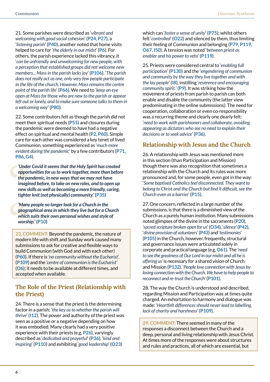21. Some parishes were described as '*vibrant and welcoming with good social cohesion*' (**P24, P27**), a '*listening parish*' (**P40**), another noted that home visits helped to care for '*the elderly in our midst*' (**P6**). For others, the parish experience lacked this vibrancy, it '*can be unfriendly and unwelcoming for new people, with a perception that established groups did not welcome new members... Mass in the parish lacks joy*' (**P106**). '*The parish does not really act as one, only very few people participate in the life of the church. However, Mass remains the centre point of the parish life*' (**P66**). We need to '*keep an eye open at Mass for those who are new to the parish or appear*  left out or lonely, and to make sure someone talks to them in *a welcoming way*' (**P80**).

22. Some contributors felt as though the parish did not meet their spiritual needs (**P55**) and closures during the pandemic were deemed to have had a negative effect on spiritual and mental health (**P2, P60**). Simple care for each other was considered a key tenet of lived Communion, something experienced as '*much more evident during the pandemic*' by a few contributors (**P71, P86, G4**).

Unde<br>
oppor<br>
the pa<br>
imagin<br>
new si<br>
tighte<br>
'Many<br>
geogra<br>
which *'Under Covid it seems that the Holy Spirit has created opportunities for us to work together, more than before the pandemic, in new ways that we may not have imagined before, to take on new roles, and to open up new skills as well as becoming a more friendly, caring, tighter knit (not physically) community.'* **(P35)**

*'Many people no longer look for a Church in the geographical area in which they live but for a Church which suits their own personal wishes and style of worship.'* **(P10)**

Many<br>geogra<br>which<br>worsh<br>23. CO<br>moder<br>submis<br>build C **23. COMMENT:** Beyond the pandemic, the nature of modern life with shift and Sunday work caused many submissions to ask for creative and flexible ways to build Communion (with God and with each other) (**P60**). If there is *'no community without the Eucharist',*  (**P109**) and the *'centre of communion is the Eucharist'*  (**O6**); it needs to be available at different times, and accepted when available.

#### **The Role of the Priest (Relationship with the Priest)**

24. There is a sense that the priest is the determining factor in a parish; '*the key as to whether the parish will thrive*' (**I12**). The power and authority of the priest was seen as a positive or a negative depending on how it was embodied. Many clearly had a very positive experience with their priests (e.g. **P26**), varyingly described as '*dedicated and prayerful*' (**P36**), '*kind and inspiring*' (**P110**) and exhibiting '*good leadership*' (**O23**)

which can '*foster a sense of unity*' (**P75**); whilst others felt '*controlled*' (**O22**) and silenced by them, thus limiting their feeling of Communion and belonging (**P79, P119, O67, I50**). A tension was noted '*between priest as enabler and his power to veto*' (**P119**).

25. Priests were considered central to '*enabling full participation*' (**P130**) and the '*engendering of communion and community by the way they live together and with the lay people*' (**I8**), instilling '*reverence and encouraging community spirit.*' (**P9**). It was striking how the movement of priests from parish to parish can both enable and disable the community (the latter view predominating in the online submissions). The need for cooperation, collaboration or even co-responsibility was a recurring theme and clearly one dearly felt: '*need to work with parishioners and collaborate, avoiding appearing as dictators who see no need to explain their decisions or to seek advice*' (**P36**).

#### **Relationship with Jesus and the Church**

26. A relationship with Jesus was mentioned more in this section (than Participation and Mission) though there was also recognition that sometimes a relationship with the Church and its rules was more pronounced and, for some people, even got in the way: '*Some baptised Catholics feel disconnected. They want to*  belong to Christ and the Church but find it difficult, see the *Church even as a barrier*' (**P15**).

27. One concern, reflected in a large number of the submissions, is that there is a diminished view of the Church as a purely human institution. Many submissions noted glimpses of the divine in the sacraments (**P20**), *'sacred scripture broken open for us*' (**O34**), '*silence*' (**P42**), '*divine provision of volunteers'* (**P43**) and '*testimonies*' (**P105**) in the Church, however, frequently, structural and governance issues were articulated solely in corporate and practical language (e.g. **O61**). The *'need to see the greatness of Our Lord in our midst and all he is offering us'* is necessary for a shared vision of Church and Mission (**P132**). '*People lose connection with Jesus by losing connection with the Church. We have to help people to reconnect and re-trust the Church*' (**P101**).

28. The way the Church is understood and described, regarding Mission and Participation was at times quite charged. An exhortation to harmony and dialogue was made: '*Heartfelt differences should never lead to labelling, lack of charity and harshness*' (**P109**).

**29. COMMENT:** There seemed in many of the responses a disconnect between the Church and a deep, personal and living relationship with Jesus Christ. At times more of the responses were about structures and rules and practices, all of which are essential, but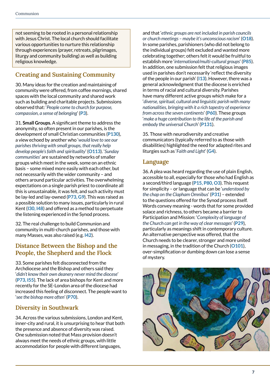not seeming to be rooted in a personal relationship with Jesus Christ. The local church should facilitate various opportunities to nurture this relationship through experiences (prayer, retreats, pilgrimages, liturgy and community building) as well as building religious knowledge.

### **Creating and Sustaining Community**

30. Many ideas for the creation and maintaining of community were offered, from coffee mornings, shared spaces with the local community and shared work such as building and charitable projects. Submissions observed that: '*People come to church for purpose, compassion, a sense of belonging*' (**P3**).

31. **Small Groups.** A significant theme to address the anonymity, so often present in our parishes, is the development of small Christian communities (**P130**), a view echoed by another who '*would love to see our parishes thriving with small groups, that really help develop people's faith and spirituality*' (**O113**). '*Sunday communities*' are sustained by networks of smaller groups which meet in the week, some on an ethnic basis – some mixed more easily with each other, but not necessarily with the wider community – and others around particular activities. The overwhelming expectations on a single parish priest to coordinate all this is unsustainable, it was felt, and such activity must be lay-led and lay-owned (**P73, G9**). This was raised as a possible solution to many issues, particularly in rural Kent (**I30, I48**) and offered as a method to perpetuate the listening experienced in the Synod process.

32. The real challenge to build Communion and community in multi-church parishes, and those with many Masses, was also raised (e.g. **I42**).

#### **Distance Between the Bishop and the People, the Shepherd and the Flock**

33. Some parishes felt disconnected from the Archdiocese and the Bishop and others said they '*didn't know their own deanery never mind the diocese*' (**P73, I55**). The lack of area bishops for Kent and more recently for the SE-London area of the diocese had increased this feeling of disconnect. The people want to '*see the bishop more often*' (**P70**).

#### **Diversity in Southwark**

34. Across the various submissions, London and Kent, inner-city and rural, it is unsurprising to hear that both the presence and absence of diversity was raised. One submission noted that Mass provision doesn't always meet the needs of ethnic groups, with little accommodation for people with different languages,

and that '*ethnic groups are not included in parish councils or church meetings – maybe it's unconscious racism*' (**O18**). In some parishes, parishioners (who did not belong to the individual groups) felt excluded and wanted more celebrating together; others felt it would be fruitful to establish more '*international/multi-cultural groups*' (**P85**). In addition, one submission felt that religious images used in parishes don't necessarily 'reflect the diversity of the people in our parish' (**I13**). However, there was a general acknowledgment that the diocese is enriched in terms of racial and cultural diversity. Parishes have many different active groups which make for a '*diverse, spiritual, cultural and linguistic parish with many nationalities, bringing with it a rich tapestry of experience from across the seven continents*' (**P60**). These groups '*make a huge contribution to the life of the parish and embody the universal Church*' (**P131**).

35. Those with neurodiversity and creative communicators (typically referred to as those with disabilities) highlighted the need for adapted rites and liturgies such as '*Faith and Light*' (**G4**).

#### **Language**

36. A plea was heard regarding the use of plain English, accessible to all, especially for those who had English as a second/third language (**P15, P80, O3**). This request for simplicity – or language that can be '*understood by the chap on the Clapham Omnibus*' (**P31**) – extended to the questions offered for the Synod process itself. Words convey meaning - words that for some provided solace and richness, to others became a barrier to Participation and Mission: '*Complexity of language of the Church can get in the way of clear messages*' (**P29**), particularly as meanings shift in contemporary culture. An alternative perspective was offered, that the Church needs to be clearer, stronger and more united in messaging, in the tradition of the Church (**O101**), over-simplification or dumbing down can lose a sense of mystery.

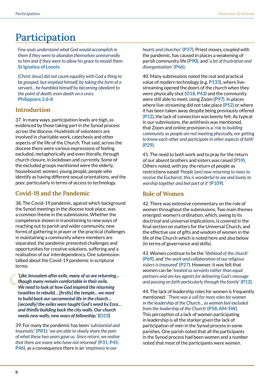## **Participation**

*Few souls understand what God would accomplish in them if they were to abandon themselves unreservedly to him and if they were to allow his grace to mould them.*  **St Ignatius of Loyola**

*[Christ Jesus] did not count equality with God a thing to be grasped, but emptied himself, by taking the form of a servant... he humbled himself by becoming obedient to the point of death, even death on a cross.*  **Philippians 2:6-8**

#### **Introduction**

37. In many ways, participation levels are high, as evidenced by those taking part in the Synod process across the diocese. Hundreds of volunteers are involved in charitable work, catechesis and other aspects of the life of the Church. That said, across the diocese there were various expressions of feeling excluded, metaphorically and even literally, through church closure, in lockdown and currently. Some of the excluded groups mentioned were the elderly, housebound, women, young people, people who identify as having different sexual orientations, and the poor, particularly in terms of access to technology.

#### **Covid-19 and the Pandemic**

38. The Covid-19 pandemic, against which background the Synod meetings in the diocese took place, was a common theme in the submissions. Whether the competence shown in transitioning to new ways of reaching out to parish and wider community, new forms of gathering in prayer or the practical challenges in maintaining a community where members are separated, the pandemic presented challenges and opportunities for creative solutions, suffering and a realisation of our interdependency. One submission talked about the Covid-19 pandemic in scriptural terms:

Like<br>thoug<br>We not<br>lsrael<br>to bui<br>[secol]<br>and ti<br>needs<br>39. For *'Like Jerusalem after exile, many of us are returning... though many remain comfortable in their exile. We need to look at how God inspired the returning Israelites to rebuild... [firstly] the temple... we need to build back our sacramental life in the church… [secondly] the exiles were taught God's word by Ezra… and thirdly building back the city walls. Our church needs new walls, new ways of fellowship.'* **(O23)** 

39. For many the pandemic has been '*substantial and traumatic*' (**P81**): '*we are able to slowly share the pain of what these two years gave us. Since return, we realise that there are many who have not returned*' (**P31, P45, P46**), as a consequence there is an '*emptiness in our* 

*hearts and churches*' (**P37**). Priest moves, coupled with the pandemic, has caused in places a weakening of parish community life (**P90**), and '*a lot of frustration and disorganisation*' **(P66**).

40. Many submissions noted the real and practical value of modern technology (e.g. **P133**), where livestreaming opened the doors of the church when they were physically shut (**O18, P43**) and the community were still able to meet, using Zoom (**P97**). In places where live-streaming did not take place (**P52**) or where it has been taken away despite being previously offered (**P12**), the lack of connection was keenly felt. As typical in our submissions, the antithesis was mentioned, that Zoom and online provision is a '*risk to building community as people are not meeting physically, nor getting to know each other and participate in other aspects of faith*' (**P29**).

41. The need to both work and to pray for the return of our absent brothers and sisters was raised (**P59**). Others noted, with joy, the return of people as restrictions eased '*People [are] now returning to mass to receive the Eucharist, this is wonderful to see and lovely to worship together and feel part of it*' (**P109**).

#### **Role of Women**

42. There was extensive commentary on the role of women throughout the submissions. Two main themes emerged: women's ordination, which, owing to its doctrinal and universal implications, is covered in the final section on matters for the Universal Church, and the effective use of gifts and wisdom of women in the life of the Church which is noted here and also below (in terms of governance and skills).

43. Women continue to be the '*lifeblood of the church*' (**P69**), and '*the work and collaboration of our religious sisters is treasured*' (**P27**). However, it was felt that women can be '*treated as servants rather than equal partners and are key agents for delivering God's message and passing on faith particularly through the family*' (**P12**).

44. The lack of leadership roles for women is frequently mentioned: '*There was a call for more roles for women in the leadership of the Church... as women feel excluded from the leadership of the Church'* (**P58, AM-SW**). This perception of a lack of women participating in leadership is all the starker given the lack of participation of men in the Synod process in some parishes. One parish noted that all the participants in the Synod process had been women and a number noted that most of the participants were women.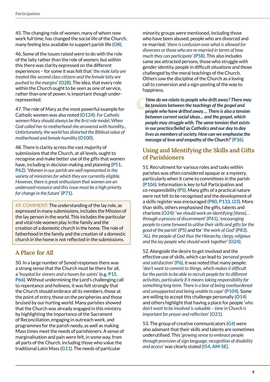45. The changing role of women, many of whom now work full time, has changed the social life of the Church, many feeling less available to support parish life (**O8**).

46. Some of the issues raised were to do with the role of the laity rather than the role of women, but within this there was clarity expressed on the different experiences – for some it was felt that '*the male laity are treated like second class citizens and the female laity are pushed to the margins*' (**O28**). The idea, that every role within the Church ought to be seen as one of service, rather than one of power, is important though underrepresented.

47. The role of Mary as the most powerful example for Catholic women was also noted (**O124**): *For Catholic*  women Mary should always be the first role model. When *God called her to motherhood she answered with humility... Unfortunately, the world has distorted the Biblical value of motherhood and female humility* (**O100**).

48. There is clarity across the vast majority of submissions that the Church, at all levels, ought to recognise and make better use of the gifts that women have, including in decision making and planning (**P51, P62**): '*Women in our parish are well represented in the variety of ministries for which they are currently eligible. However, there is great enthusiasm that women are an underused resource and this issue must be a high priority for change in the future*' (**P71**).

**49. COMMENT:** The understanding of the lay role, as expressed in many submissions, includes the Mission of the lay person in the world. This includes the particular and vital role women play in the family and the creation of a domestic church in the home. The role of fatherhood in the family and the creation of a domestic church in the home is not reflected in the submissions.

### **A Place for All**

50. In a large number of Synod responses there was a strong sense that the Church must be there for all, a '*hospital for sinners and a haven for saints*' (e.g. **P15, P66**). Without undermining the Lord's challenging call to repentance and holiness, it was felt strongly that the Church should embrace all its members, those at the point of entry, those on the peripheries and those bruised by our hurting world. Many parishes showed that the Church was already engaged in this ministry by highlighting the importance of the Sacrament of Reconciliation, engaging in outreach work, and programmes for the parish needy, as well as making Mass times meet the needs of parishioners. A sense of marginalisation and pain were felt, in some way, from all parts of the Church, including those who value the traditional Latin Mass (**G11**). The needs of particular

minority groups were mentioned, including those who have been abused, people who are divorced and re-married, '*there is confusion over what is allowed for divorcees or those who are re-married in terms of how much they can participate*' (**P58**). This also includes same sex attracted persons, those who struggle with gender identity, people in difficult situations and those challenged by the moral teachings of the Church. Others saw the discipline of the Church as a loving call to conversion and a sign-posting of the way to happiness.

How<br>be ter<br>peopl<br>betwy<br>peopl<br>in our<br>lives<br>messe<br>I Ising *'How do we relate to people who drift away? There may be tensions between the teachings of the gospel and people who have drifted away…. There is also a tension between current social ideas… and the gospel, which people may struggle with. The same tension that exists in our practice/belief as Catholics and our day to day lives as members of society. How can we emphasise the message of love and empathy of the Church?'* (**P36**).

#### **Using and Identifying the Skills and Gifts of Parishioners**

51. Recruitment for various roles and tasks within parishes was often considered opaque or a mystery, particularly when it came to committees in the parish (**P106**). Information is key to full Participation and co-responsibility (**P5**). Many gifts of a practical nature were not felt to be recognised and the development of a skills register was encouraged (**P80, P133, I23**). More than skills, others emphasised the gifts, talents and charisms (**O24**): '*we should work on identifying [these]… through a process of discernment*' (**P41**), '*encouraging people to come forward to utilise their skills and gifts for the good of the parish*' (**P5**) and for '*the work of God*' (**P83**). '*ALL the people of God thus the Hierarchy, clergy, religious and the lay people who should work together*' (**O24**).

52. Alongside the desire to get involved and the effective use of skills, which can lead to '*personal growth and satisfaction*' (**P6**), it was noted that many people: '*don't want to commit to things, which makes it difficult for the parish to be able to recruit people for its different activities, particularly if it means taking responsibility for something long term. There is a fear of being overburdened and unsupported and being unable to cope*' (**P104**). Some are willing to accept this challenge personally (**O14**) and others highlight that having a place for people '*who don't want to be involved is valuable – time in Church is important for prayer and refl ection*' (**O21**).

53. The group of creative communicators (**G4**) were also adamant that their skills and talents are sometimes underutilised. This '*growing sense to embrace people through provision of sign language, recognition of disability and access*' was clearly stated (**I54, AM-SE**).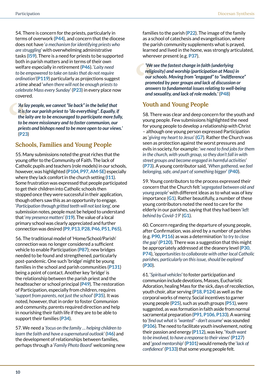54. There is concern for the priests, particularly in terms of overwork (**P44**), and concern that the diocese does not have '*a mechanism for identifying priests who are struggling*' with overwhelming administrative tasks (**I59**). There is a need for priests to be supported both in parish matters and in terms of their own welfare especially in retirement (**P46**). '*Laity need to be empowered to take on tasks that do not require ordination*'(**P119**) particularly as projections suggest a time ahead '*when there will not be enough priests to celebrate Mass every Sunday*' (**P23**) in every place now covered.

As lay<br>
it is for<br>
the la<br>
to be<br>
priest<br>
(P23)<br>
Scho<br>
55. Ma *'As lay people, we cannot "lie back" in the belief that it is for our parish priest to "do everything". Equally, if the laity are to be encouraged to participate more fully, to be more missionary and to foster communion, our priests and bishops need to be more open to our views.'*  (**P23**)

#### **Schools, Families and Young People**

55. Many submissions noted the great riches that the young offer to the Community of Faith. The lack of Catholic pupils and teachers (role models) in our schools, however, was highlighted (**P104, P97, AM-SE**) especially where they lack comfort in the church setting (**I11**). Some frustration was expressed that people participated to get their children into Catholic schools then stopped once they were successful in their application, though others saw this as an opportunity to engage. '*Participation through gritted teeth will not last long*', one submission notes, people must be helped to understand that '*my presence matters*' (**I19**). The value of a local primary school was clearly appreciated and further connection was desired (**P9, P13, P28, P46, P51, P65**).

56. The traditional model of 'Home/School/Parish' connection was no longer considered a sufficient vehicle to enable Participation (**P87**); new bridges needed to be found and strengthened, particularly post-pandemic. One such 'bridge' might be young families in the school and parish communities (**P131**) being a point of contact. Another key 'bridge' is the relationship between the parish priest and the headteacher or school principal (**P49**). The restoration of Participation, especially from children, requires '*support from parents, not just the school*' (**P35**). It was noted, however, that in order to foster Communion and community, parents required direction and help in nourishing their faith life if they are to be able to support their families (**P34**).

57. We need a '*focus on the family … helping children to learn the faith and have a supernatural outlook*' (**I46**) and the development of relationships between families, perhaps through a '*Family Photo Board*' welcoming new families to the parish (**P22**). The image of the family as a school of catechesis and evangelisation, where the parish community supplements what is prayed, learned and lived in the home, was strongly articulated, wherever present (e.g. **P37**).

We see<br>
The Prefigion our see<br>
The Armor<br>
Tout<br>
Tout<br>
Tout<br>
Tout<br>
Tout *'We see the fastest change in faith (underlying religiosity) and worship (participation at Mass) in our schools. Moving from "engaged" to "indifference" promoted by peer groups and lack of discussion or answers to fundamental issues relating to well-being and sexuality, and lack of role models.'* (**P48**)

#### **Youth and Young People**

58. There was clear and deep concern for the youth and young people. Few submissions highlighted the need for young people to develop a relationship with Christ – although one young person expressed Participation as '*giving my heart to Jesus*' (**G7**). Rather the Church was seen as protection against the worst pressures and evils in society, for example: 'we need to find jobs for them *in the church, with youth group, so they don't fall in with street groups and become engaged in harmful activities*' (**P73**). A young contributor said, '*When gathered, we feel belonging, safe, and part of something bigger*' **(P40**).

59. Young contributors to the process expressed their concern that the Church felt '*segregated between old and young people*' with different ideas as to what was of key importance (**G1**). Rather beautifully, a number of these young contributors noted the need to care for the elderly in our parishes, saying that they had been '*left behind by Covid-19*' (**G1**).

60. Concern regarding the departure of young people, after Confirmation, was aired by a number of parishes (e.g. **P90, P116**) as was a determination '*to try to close the gap*' (**P120**). There was a suggestion that this might be appropriately addressed at the deanery level (**P30, P74**), 'o*pportunities to collaborate with other local Catholic parishes, particularly on this issue, should be explored*' (**P30**).

61. '*Spiritual vehicles*' to foster participation and communion include devotions, Masses, Eucharistic Adoration, healing Mass for the sick, days of recollection, youth choir, altar serving (**P18, P124**) as well as the corporal works of mercy. Social incentives to garner young people (**P25**), such as youth groups (**P51**), were suggested, as was formation in faith aside from normal sacramental preparation (**P91, P106, P133**). A warning to '*fi nd out what is "wanted" - don't assume*' was sounded (**P106**). The need to facilitate youth involvement, noting their passion and energy (**P112**), was key. '*Youth want to be involved, to have a response to their views*' (**P127**) and '*good mentorship*' (**P101**) would remedy the '*lack of confi dence*' (**P133**) that some young people felt.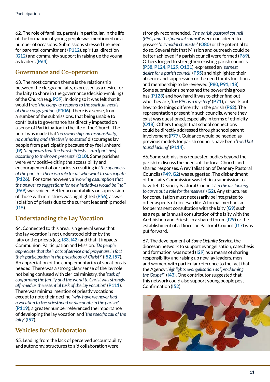62. The role of families, parents in particular, in the life of the formation of young people was mentioned on a number of occasions. Submissions stressed the need for parental commitment (**P112**), spiritual direction (**G12**) and community support in raising up the young as leaders (**P64**).

#### **Governance and Co-operation**

63. The most common theme is the relationship between the clergy and laity, expressed as a desire for the laity to share in the governance (decision-making) of the Church (e.g. **P39**). In doing so it was felt that it would free '*the clergy to respond to the spiritual needs of their congregation*' (**P106**). There is a sense, from a number of the submissions, that being unable to contribute to governance has directly impacted on a sense of Participation in the life of the Church. The point was made that '*no ownership, no responsibility, no authority, and effectively no status*' discourages lay people from participating because they feel unheard (**I9**), '*it appears that the Parish Priests… run [parishes] according to their own precepts*' (**O10**). Some parishes were very positive citing the accessibility and encouragement of our priests resulting in '*the openness of the parish – there is a role for all who want to participate'* (**P126**). For some however, a *'working assumption that the answer to suggestions for new initiatives would be "no"'*  (**P69**) was voiced. Better accountability or supervision of those with ministries was highlighted (**P56**), as was isolation of priests due to the current leadership model (**I15**).

#### **Understanding the Lay Vocation**

64. Connected to this area, is a general sense that the lay vocation is not understood either by the laity or the priests (e.g. **I33, I42**) and that it impacts Communion, Participation and Mission. '*Do people appreciate that their acts of service and prayer are in fact their participation in the priesthood of Christ?*' (**I52, I57**). An appreciation of the complementarity of vocations is needed. There was a strong clear sense of the lay role not being confused with clerical ministry, the '*task of conforming the family and the world to Christ was strongly affirmed as the essential task of the lay vocation*' (**P111**). There was minimal mention of priestly vocations except to note their decline, '*why have we never had a vocation to the priesthood or diaconate in the parish?*' (**P119**); a greater number referenced the importance of developing the lay vocation and '*the specific call of the laity*' (**I57**).

#### **Vehicles for Collaboration**

65. Leading from the lack of perceived accountability and autonomy, structures to aid collaboration were

strongly recommended. '*The parish pastoral council (PPC) and the financial council*' were considered to possess '*a synodal character*' (**O80**) or the potential to do so. Several felt that Mission and outreach could be better achieved if a parish council were formed (**P69**). Others longed to strengthen existing parish councils (**P38, P124, P129, O131**), expressed an '*earnest desire for a parish council*' (**P55**) and highlighted their absence and suppression or the need for its functions and membership to be reviewed (**P80, P91, I18**). Some submissions bemoaned the power this group has (**P123**) and how hard it was to either find out who they are, '*the PPC is a mystery*' (**P71**), or work out how to do things differently in the parish (**P62**). The representation present in such councils, where they exist was questioned, especially in terms of ethnicity (**O18**). Others thought that school connections could be directly addressed through school parent involvement (**P77**). Guidance would be needed as previous models for parish councils have been '*tried but found lacking*' (**P114**).

66. Some submissions requested bodies beyond the parish to discuss the needs of the local Church and shared responses. A revitalisation of Deanery Pastoral Councils (**P49, G2**) was suggested. The disbandment of the Laity Commission was felt in a submission to have left Deanery Pastoral Councils '*in the air, looking to carve out a role for themselves*' (**G2**). Any structures for consultation must necessarily be integrated to other aspects of diocesan life. A formal mechanism for permanent consultation with the laity (**G9**) such as a regular (annual) consultation of the laity with the Archbishop and Priests in a shared forum (**I29**) or the establishment of a Diocesan Pastoral Council (**I17**) was put forward.

67. The development of *Some Definite Service*, the diocesan network to support evangelisation, catechesis and formation, was noted (**I29**) as a means of sharing responsibility and raising up new lay leaders, men and women, with particular reference to the fact that the Agency '*highlights evangelisation as "proclaiming the Gospel"*' (**I43**). One contributor suggested that this network could also support young people post-Confirmation (**I52**).

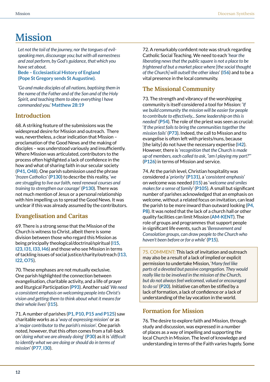# **Mission**

*Let not the toil of the journey, nor the tongues of evilspeaking men, discourage you; but with all earnestness and zeal perform, by God's guidance, that which you have set about.* 

**Bede – Ecclesiastical History of England (Pope St Gregory sends St Augustine).**

*'Go and make disciples of all nations, baptising them in the name of the Father and of the Son and of the Holy Spirit, and teaching them to obey everything I have commanded you.'* **Matthew 28:19**

#### **Introduction**

68. A striking feature of the submissions was the widespread desire for Mission and outreach. There was, nevertheless, a clear indication that Mission – proclamation of the Good News and the making of disciples – was understood variously and insufficiently. Where Mission was articulated, contributors to the process often highlighted a lack of confidence in the how and what of sharing faith in our secular society (**P41, O48**). One parish submission used the phrase '*frozen Catholics*' (**P130**) to describe this reality, '*we are struggling to live our faith, need renewal courses and training to strengthen our courage*' (**P130**). There was not much mention of Jesus or a personal relationship with him impelling us to spread the Good News. It was unclear if this was already assumed by the contributors.

#### **Evangelisation and Caritas**

69. There is a strong sense that the Mission of the Church is witness to Christ, albeit there is some division between those who regard this Mission as being principally theological/doctrinal/spiritual (**I15, I23, I31, I33, I46**) and those who see Mission in terms of tackling issues of social justice/charity/outreach (**I13, I22, O75**).

70. These emphases are not mutually exclusive. One parish highlighted the connection between evangelisation, charitable activity, and a life of prayer and liturgical Participation (**P93**). Another said '*We need a consistent emphasis on welcoming people into Christ's vision and getting them to think about what it means for their whole lives*' (**I15**).

71. A number of parishes (**P1, P10, P15 and P125**) saw charitable works as a '*way of expressing mission*' or as a '*major contributor to the parish's mission'*. One parish noted, however, that this often comes from a fall-back on '*doing what we are already doing*' (**P30**) as it is '*diffi cult to identify what we are doing or should do in terms of mission*' (**P77, I30**).

72. A remarkably confident note was struck regarding Catholic Social Teaching. We need to each '*hear the liberating news that the public square is not a place to be frightened of but a market place where [the social thought of the Church] will outsell the other ideas*' (**I56**) and to be a vital presence in the local community.

### **The Missional Community**

73. The strength and vibrancy of the worshipping community is itself considered a tool for Mission: '*If we build community the mission will be easier for people to contribute to effectively... Some leadership on this is needed*' (**P54**). The role of the priest was seen as crucial: '*If the priest fails to bring the communities together the mission fails*' (**P73**). Indeed, the call to Mission and to evangelise is often left with priests/nuns, because [the laity] do not have the necessary expertise (**I42**). However, there is '*recognition that the Church is made up of members, each called to ask, "am I playing my part?"'*  (**P126**) in terms of Mission and service.

74. At the parish level, Christian hospitality was considered a '*priority*' (**P131**), a '*consistent emphasis*' on welcome was needed (**I15**) as '*welcome and smiles makes for a sense of family'* (P105). A small but significant number of parishes acknowledged that an emphasis on welcome, without a related focus on invitation, can lead the parish to be more inward than outward looking (**P4, P8**). It was noted that the lack of a church hall or other quality facilities can limit Mission (**AM-KENT**). The role of groups and programmes that support people in signifi cant life events, such as '*Bereavement and Consolation groups, can draw people to the Church who haven't been before or for a while*' (**P15**).

**75. COMMENT:** This lack of invitation and outreach may also be a result of a lack of implied or explicit permission to undertake Mission, '*Many feel like parts of a devoted but passive congregation. They would really like to be involved in the mission of the Church, but do not always feel welcomed, valued or encouraged*  to do so' (P20). Initiative can often be stifled by a lack of formation, a lack of confidence or a lack of understanding of the lay vocation in the world.

#### **Formation for Mission**

76. The desire to explore faith and Mission, through study and discussion, was expressed in a number of places as a way of impelling and supporting the local Church in Mission. The level of knowledge and understanding in terms of the Faith varies hugely. Some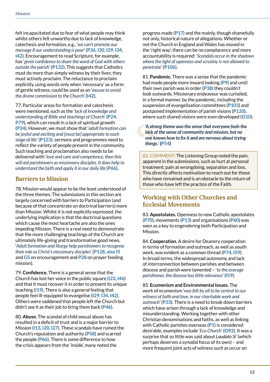felt incapacitated due to fear of what people may think whilst others felt unworthy due to lack of knowledge, catechesis and formation, e.g., '*we can't promote our message if our understanding is poor*' (**P36, I30, I29, I34, I42**). Encouragement to read Scripture, for example, has 'given confidence to share the word of God with others *outside the parish*' (**P132**). This suggests that Catholics must do more than simply witness by their lives; they must actively proclaim. The reluctance to proclaim explicitly, using words only when 'necessary' as a form of gentle witness, could be used as an '*excuse to avoid the divine commission to the Church*' (**I42**).

77. Particular areas for formation and catechesis were mentioned, such as the '*lack of knowledge and understanding of Bible and teachings of Church*' (**P24, P79**), which can result in a lack of spiritual growth (**P24**). However, we must show that '*adult formation can be joyful and exciting and [must be] appropriate to each stage of life*' (**P123**); sermons and programmes need to reflect the variety of people present in the community. Such teaching and proclamation also needs to be delivered with '*love and care and competence, then this will aid parishioners as missionary disciples. It does help to understand the faith and apply it in our daily life* (**P66**).

#### **Barriers to Mission**

78. Mission would appear to be the least understood of the three themes. The submissions in this section are largely concerned with barriers to Participation (and because of that concentrate on doctrinal barriers) more than Mission. Whilst it is not explicitly expressed, the underlying implication is that the doctrinal questions which cause the most heartache are also the ones impeding Mission. There is a real need to demonstrate that the more challenging teachings of the Church are ultimately life-giving and transformative good news. '*Adult formation and liturgy help parishioners to recognise their role as Christ's missionary disciples*' (**P128, also I5** and **G5** on encouragement and **P28** on prayer feeding mission).

79. **Confi dence.** There is a general sense that the Church has lost her voice in the public square (**I23, I46**) and that it must recover it in order to present its unique teaching (**I19**). There is also a general feeling that people feel ill-equipped to evangelise (**I29, I34, I42**). Others were saddened that people left the Church but didn't see it as their job to bring them back (**P46**).

80. **Abuse.** The scandal of child sexual abuse has resulted in a deficit of trust and is a major barrier to Mission (**I13, I20, I27**). These scandals have ruined the Church's reputation and authority (**P58**) and scarred the people (**P66**). There is some difference to how the crisis appears from the 'inside', many noted the

progress made (**P17**) and the mainly, though shamefully not only, historical nature of allegations. Whether or not the Church in England and Wales has moved in the 'right way', there can be no complacency and more accountability is required: '*Scandals occur in the shadows where the light of openness and scrutiny is not allowed to penetrate*' (**P106**).

81. **Pandemic.** There was a sense that the pandemic had made people more inward looking (**P9**) and until their own parish was in order (**P38**) they couldn't look outwards. Missionary endeavour was curtailed, in a formal manner, by the pandemic, including the suspension of evangelisation committees (**P103**) and postponed implementation of parish visions (**P120**), where such shared visions were even developed (**O10**).

*'A strong theme was the sense that everyone feels the lack of the sense of community and mission, but no*  one knows how to fix it and are nervous about trying *things.'* **(P54)**

A strong and the strong set of the strong set of the strong set of the strong set of the strong set of the strong set of the strong set of the strong set of the strong set of the strong set of the strong set of the strong **82. COMMENT:** The Listening Group noted the pain, apparent in the submissions, such as hurt at personal treatment; pain at wrongdoing, separation and loss. This directly affects motivation to reach out for those who have remained and is an obstacle to the return of those who have left the practice of the Faith.

#### **Working with Other Churches and Ecclesial Movements**

83. **Apostolates.** Openness to new Catholic apostolates (**P70**), movements (**P13**) and organisations (**P60**) was seen as a key to engendering both Participation and Mission.

84. **Cooperation.** A desire for Deanery cooperation in terms of formation and outreach, as well as youth work, was evident as a common thread (**P74, I59**). In broad terms, the widespread autonomy and lack of interconnection between parishes and between diocese and parish were lamented – '*to the average parishioner, the diocese has little relevance*' (**I59**).

85. **Ecumenism and Environmental Issues.** The work of ecumenism '*was felt by all to be central to our witness of faith and love, in our charitable work and outreach*' (**P33**). There is a need to break down barriers which have arisen through a lack of knowledge and misunderstanding. Working together with other Christian denominations and faiths, as well as linking with Catholic parishes overseas (**P1**) is considered desirable, examples include '*Eco Church*' (**O92**). It was a surprise that so little was said about *Laudato Si'* (which perhaps deserves a synodal focus of its own) – and more frequent joint acts of witness such as occur on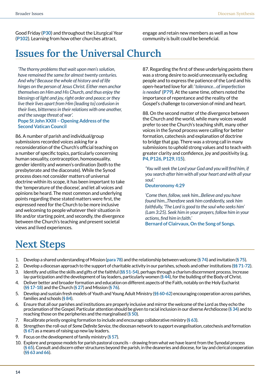Good Friday (**P30**) and throughout the Liturgical Year (**P102**). Learning from how other churches attract,

engage and retain new members as well as how community is built could be beneficial.

## **Issues for the Universal Church**

*'The thorny problems that wait upon men's solution, have remained the same for almost twenty centuries. And why? Because the whole of history and of life hinges on the person of Jesus Christ. Either men anchor themselves on Him and His Church, and thus enjoy the blessings of light and joy, right order and peace; or they live their lives apart from Him [leading to] confusion in their lives, bitterness in their relations with one another, and the savage threat of war'.*

#### **Pope St John XXIII – Opening Address of the Second Vatican Council**

86. A number of parish and individual/group submissions recorded voices asking for a reconsideration of the Church's official teaching on a number of specific topics, particularly concerning human sexuality, contraception, homosexuality, gender identity and women's ordination (both to the presbyterate and the diaconate). While the Synod process does not consider matters of universal doctrine within its scope, it has been important to take the 'temperature of the diocese', and let all voices and opinions be heard. The most common and underlying points regarding these stated matters were first, the expressed need for the Church to be more inclusive and welcoming to people whatever their situation in life and/or starting point, and secondly, the divergence between the Church's teaching and present societal views and lived experiences.

87. Regarding the first of these underlying points there was a strong desire to avoid unnecessarily excluding people and to express the patience of the Lord and his open-hearted love for all: '*tolerance…of imperfection is needed*' (**P79**). At the same time, others noted the importance of repentance and the reality of the Gospel's challenge to conversion of mind and heart.

88. On the second matter of the divergence between the Church and the world, while many voices would prefer to see the Church's teaching shift, many other voices in the Synod process were calling for better formation, catechesis and explanation of doctrine to bridge that gap. There was a strong call in many submissions to uphold strong values and to teach with greater clarity and confidence, joy and positivity (e.g. **P4, P126, P129, I15**).

*'You will seek the Lord your God and you will find him, if you search after him with all your heart and with all your soul.'* 

#### **Deuteronomy 4:29**

*'Come then, follow, seek him...Believe and you have found him...Therefore seek him confidently, seek him faithfully, 'The Lord is good to the soul who seeks him' (Lam 3:25). Seek him in your prayers, follow him in your actions, find him in faith.'*  **Bernard of Clairvaux, On the Song of Songs.**

## **Next Steps**

- 1. Develop a shared understanding of Mission (**para 78**) and the relationship between welcome (**§ 74**) and invitation (**§ 75**).
- 2. Develop a diocesan approach to the support of charitable activity in our parishes, schools and other institutions (**§§ 71-72**).
- 3. Identify and utilise the skills and gifts of the faithful (**§§ 51-54**), perhaps through a charism discernment process. Increase lay-participation and the development of lay leaders, particularly women (**§ 44**), for the building of the Body of Christ.
- 4. Deliver better and broader formation and education on different aspects of the Faith, notably on the Holy Eucharist (**§§ 17-18**) and the Church (**§ 27**) and Mission (**§ 76**).
- 5. Develop and sustain fresh models of Youth and Young Adult Ministry (**§§ 60-62**) encouraging cooperation across parishes, families and schools (**§ 84**).
- 6. Ensure that all our parishes and institutions are properly inclusive and mirror the welcome of the Lord as they echo the proclamation of the Gospel. Particular attention should be given to racial inclusion in our diverse Archdiocese (**§ 34**) and to reaching those on the peripheries and the marginalised (**§ 50**).
- 7. Recalibrate priestly ongoing formation to include and encourage collaborative ministry (**§ 63**).
- 8. Strengthen the roll-out of *Some Definite Service*, the diocesan network to support evangelisation, catechesis and formation (**§ 67**) as a means of raising up new lay leaders.
- 9. Focus on the development of family ministry (**§ 57**).
- 10. Explore and propose models for parish pastoral councils drawing from what we have learnt from the Synodal process (**§ 65**). Consult and discern other structures beyond the parish, in the deaneries and diocese, for lay and clerical cooperation (**§§ 63 and 66**).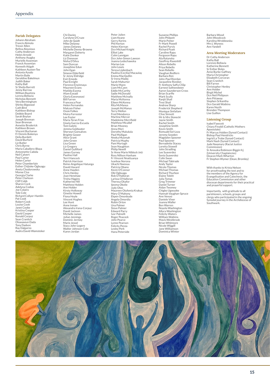#### **Parish Delegates**

Johann Abraham Francis Akinola Trevor Allen Refina Aloysious Cathy Anderson Helen Arnold Anthony Asagba Murielle Assemian Franck Assemian Kenneth Atigah Kathleen Austen-Tee Antonia Azodo Martin Baile Geraldine Bakelmun Judith Baker Kathy Ball Sr Sheila Barrett Jenny Barrow William Bautista Lorena Bellavia Nicholas Bennett Vera Bermingham Shirley Bigwood Cath Bird Kathleen Bishop Debbie Board Sarah Boylan Joseph Brennan Sean Brennan Annette Broderick Kathleen Brown Vincent Buchanan Fr Dennis Bukenya Delia Burdett David Burford Liz Butler Chris Byrne Maria Caballero-Blaya Antonnette Cabida Neil Calvert Paul Carter Helen Carter Peter Chamberlain Esther Chijioke-Ogbuagu Aneta Chodorowska Monse Cisa Georgia Clarke Peter Clarkson Cliff Cobb Sharon Cock Adelyna Codias Joe Colairo Tole Cole Richard Collyer-Hamlin Pat Cook Robert Cook Louise Cook Janet Cooke Kristina Cooper David Cooper Ronald Corpuz Sean Cranitch Oluwaseun Dada Tony Dadson Ray Dalgarno Audra David-Wamsteker

Carolyne D'Cruze John de Quidt Mike Delaney James Delaney Michelle Denny-Browne Margaret Doherty Katie Donkor Liz Donovan Nisha D'Silva Sam Duncan Josephine Edun John Egan Simeon Elderfield Sr Jenny Eldridge Esiri Emedo Paul Enright Florence Enyinnaya Maureen Evans Matilda Eyoma Afam Ezeadi Gloria Ezeonyeasi Bill Farren Francesca Fear Helen Fernandes Malcom Fisher Ossie Folkes Moira Forrester Lee Foster Maria Teran Frias Gisela Garcia-Escuela Tom Gately Jemma Goldwater Sherwyn Gonsalves Brigitte Gower Alice Grant John Green Lisa Green Liz Gregory Daniel Gulliford James Gurney Pauline Hall Terri Hancock Patrick Harrison Reine-Angelique Hatunga David Havard Anne Hayden Chris Henley Joan Henshaw Trisha Higgins Katherine Hill Matthew Holden Ann Holder Kirsty Holloway Ginette Howell Fiona Hoyle Vincent Hughes Lee Hunt Anne Inman Alexandra Irana-Corpuz David Jackson Michelle James Julian Jennings Dominic Jermey Marie Jessel Stacy John-Legere Walter Johnson-Cole Karen Jordan

Chi Davies

Peter Julien Liam Keane Gerry Kerins Phil Kerton Helen Kiernan Dcn Michael Knight Elliot Lake Colm Lannigan Dcn John-Simon Lawson Joanna Ledochawska Marian Lee John Lewis Teresa Lüdenbach Paulina (Cecilia) Macaulay Faanna (ecema) Sr Irena Madej Sarah Mahurter Marie Mann Liam McCann Eddie McCarthy Sadie McDonald Matthew McInally Maria McKenna Eileen McKenna Rita McManus Joseph McManus Terry Mellon Fred Mendonca Martine Mercer Madeleine Merrifield Matthew Micallef Brian Mooney Anna Mori Dorothy Mukalula Paul Mulligan Nneka Muomah Patricia Muphy Pam Murtagh Sean Naughton Philip Newill Sr Anne Marie Niblock SND Ross Nillson Hanham Fr Vincent Nnattuanya Ivanhoe Norona Ukachi Nwosuu Patricia Obano Kevin O'Connor Obi Ogbuagu Rob O'Halloran Larissa O'Halloran Theresa Okafor Ijeoma Okolie Judy Oloo Maureen Olufemia Krakue Mary O'Mahony Ekpen Omonbude Angela Omordia Robin Orton Una Palmer Steve Palmer Edward Parry Ivor Patnelli Roger Peacock John Pearce Lynne Pearson Felicity Penza Lesley Perk Hana Peterside

John Philpott Marie Potter Fr Mark Powell Rachel Purvis Richard Pyatt Caroline Rapu Ferguson Rapu Ala Ratynska Geoffrey Ravenhill Alison Rebello Priya Rebello Sean Rebello Vaughan Redfern Barbara Ren John-Paul Riordan Jacqueline Rondon Fr Anthony Saffa CSSp Earnest Satheesbeen Aaron Saunderson Cross Brian Scarffe Mark Scully Ranjit Shail Tresi Shail Andrew Sharp Frederick Shepherd Monique Sinfailam Clive Sinnott Mr & Mrs Slonecki Jayne Smith Rachel Smith Josephine Smith Kevin Smith Romuald Sol-Loza Jeremy Sowden Magdalen Spooner Paul Spooner Bernadette Stacey Loretta Stowell John Stradling Lee Suaverdez Sonia Suaverdez Colin Swan Michael Tabirade Andy Taylor Nicola Thomas Michael Thomas Richard Thurbon Elaine Tobitt Julia Tomas Greg Trimmer Daniel Turner Aidan Twomey Chigbo Ugwuoke Hannah Vaughan-Spruce Ann Venosi Daniele Viner Joanna Waller Ben Warren Noyola Washington Allura Washington Felicity Waters William Watkins Mavis Westbrook Brian Whitmore Nicole Wiggill Jane Williamson Dominica Winter

Suzanne Phillips

Barbara Wood John Woodcock Karolina Wroblewska Mrs L Wyness Ann Yandell

#### **Area Meeting Moderators**

Dr Cathy Anderson Kathy Ball Lorenzo Bellavia Katherine Bennett Sr Esther Boles Anne Burke-Gaffney Maria Christopher Elizabeth Corcoran Sean Cranitch Bill Farren Christopher Henley Ann Holder Birgit Michel Dcn Neil Philipson Ann Pittaway Stephen Srikantha Dcn Gerald Watkins Karen North Brenden Thompson Lise Guillon

#### **Listening Group**

Isabel Fawcett Chiara Finaldi (Catholic Mothers Apostolate) Fr Marcus Holden (Synod Contact) Bishop Paul Hendricks Ingrid La Trobe (Synod Contact) Mark Nash (Synod Contact) Jude Nwamary (Racial Justice Commission) Sr Anouska Robinson-Biggin fcj (University Chaplaincies) Deacon Mark Wharton Fr Stephen Wymer (Dean, Bromley)

With thanks to Krista Nelson for proofreading the text and to the members of the Agency for Evangelisation and Catechesis, the Education Commission and other diocesan departments for their practical and prayerful support.

Importantly, with gratitude to all parishioners, schools, groups and clergy who participated in the ongoing Synodal journey in the Archdiocese of Southwark.